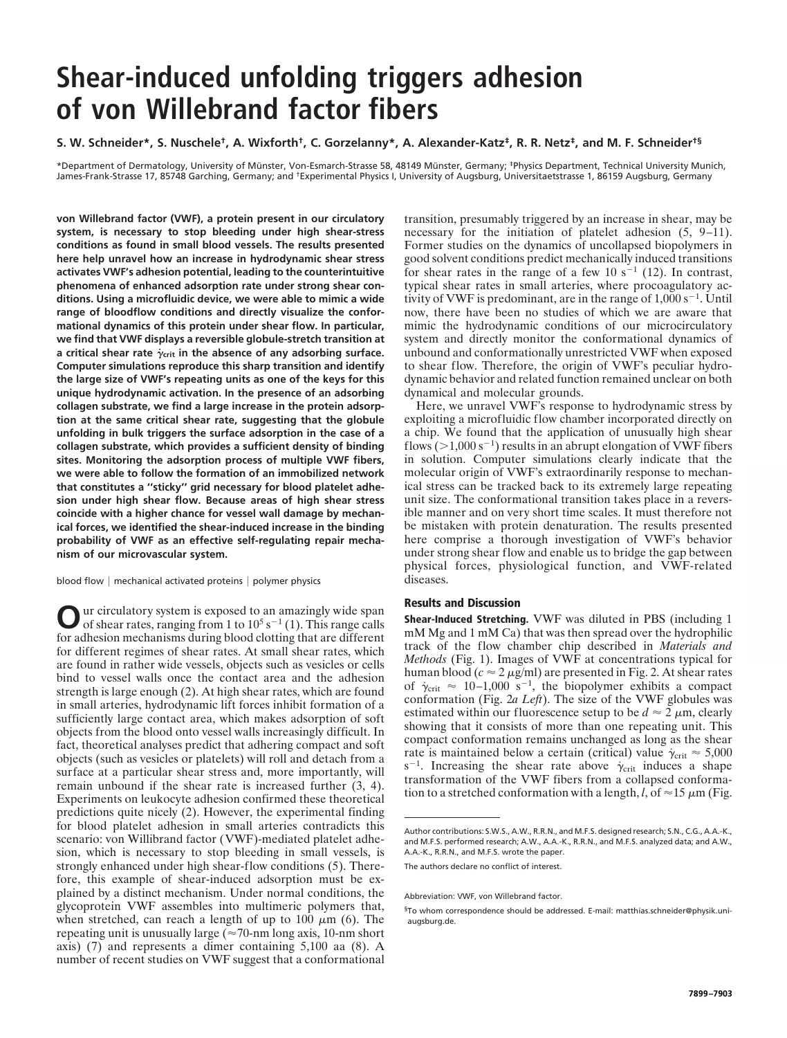# **Shear-induced unfolding triggers adhesion of von Willebrand factor fibers**

## S. W. Schneider\*, S. Nuschele<sup>†</sup>, A. Wixforth<sup>†</sup>, C. Gorzelanny\*, A. Alexander-Katz<sup>‡</sup>, R. R. Netz‡, and M. F. Schneider<sup>t§</sup>

\*Department of Dermatology, University of Münster, Von-Esmarch-Strasse 58, 48149 Münster, Germany; <sup>‡</sup>Physics Department, Technical University Munich, James-Frank-Strasse 17, 85748 Garching, Germany; and <sup>†</sup>Experimental Physics I, University of Augsburg, Universitaetstrasse 1, 86159 Augsburg, Germany

**von Willebrand factor (VWF), a protein present in our circulatory system, is necessary to stop bleeding under high shear-stress conditions as found in small blood vessels. The results presented here help unravel how an increase in hydrodynamic shear stress activates VWF's adhesion potential, leading to the counterintuitive phenomena of enhanced adsorption rate under strong shear conditions. Using a microfluidic device, we were able to mimic a wide range of bloodflow conditions and directly visualize the conformational dynamics of this protein under shear flow. In particular, we find that VWF displays a reversible globule-stretch transition at a critical shear rate ˙ crit in the absence of any adsorbing surface. Computer simulations reproduce this sharp transition and identify the large size of VWF's repeating units as one of the keys for this unique hydrodynamic activation. In the presence of an adsorbing collagen substrate, we find a large increase in the protein adsorption at the same critical shear rate, suggesting that the globule unfolding in bulk triggers the surface adsorption in the case of a collagen substrate, which provides a sufficient density of binding sites. Monitoring the adsorption process of multiple VWF fibers, we were able to follow the formation of an immobilized network that constitutes a ''sticky'' grid necessary for blood platelet adhesion under high shear flow. Because areas of high shear stress coincide with a higher chance for vessel wall damage by mechanical forces, we identified the shear-induced increase in the binding probability of VWF as an effective self-regulating repair mechanism of our microvascular system.**

blood flow  $|$  mechanical activated proteins  $|$  polymer physics

**O** ur circulatory system is exposed to an amazingly wide span of shear rates, ranging from 1 to  $10^5$  s<sup>-1</sup> (1). This range calls for adhesion mechanisms during blood clotting that are different for different regimes of shear rates. At small shear rates, which are found in rather wide vessels, objects such as vesicles or cells bind to vessel walls once the contact area and the adhesion strength is large enough (2). At high shear rates, which are found in small arteries, hydrodynamic lift forces inhibit formation of a sufficiently large contact area, which makes adsorption of soft objects from the blood onto vessel walls increasingly difficult. In fact, theoretical analyses predict that adhering compact and soft objects (such as vesicles or platelets) will roll and detach from a surface at a particular shear stress and, more importantly, will remain unbound if the shear rate is increased further (3, 4). Experiments on leukocyte adhesion confirmed these theoretical predictions quite nicely (2). However, the experimental finding for blood platelet adhesion in small arteries contradicts this scenario: von Willibrand factor (VWF)-mediated platelet adhesion, which is necessary to stop bleeding in small vessels, is strongly enhanced under high shear-flow conditions (5). Therefore, this example of shear-induced adsorption must be explained by a distinct mechanism. Under normal conditions, the glycoprotein VWF assembles into multimeric polymers that, when stretched, can reach a length of up to 100  $\mu$ m (6). The repeating unit is unusually large ( $\approx$ 70-nm long axis, 10-nm short axis) (7) and represents a dimer containing 5,100 aa (8). A number of recent studies on VWF suggest that a conformational

transition, presumably triggered by an increase in shear, may be necessary for the initiation of platelet adhesion (5, 9–11). Former studies on the dynamics of uncollapsed biopolymers in good solvent conditions predict mechanically induced transitions for shear rates in the range of a few 10  $s^{-1}$  (12). In contrast, typical shear rates in small arteries, where procoagulatory activity of VWF is predominant, are in the range of  $1,000 s^{-1}$ . Until now, there have been no studies of which we are aware that mimic the hydrodynamic conditions of our microcirculatory system and directly monitor the conformational dynamics of unbound and conformationally unrestricted VWF when exposed to shear flow. Therefore, the origin of VWF's peculiar hydrodynamic behavior and related function remained unclear on both dynamical and molecular grounds.

Here, we unravel VWF's response to hydrodynamic stress by exploiting a microfluidic flow chamber incorporated directly on a chip. We found that the application of unusually high shear flows ( $>$ 1,000 s<sup>-1</sup>) results in an abrupt elongation of VWF fibers in solution. Computer simulations clearly indicate that the molecular origin of VWF's extraordinarily response to mechanical stress can be tracked back to its extremely large repeating unit size. The conformational transition takes place in a reversible manner and on very short time scales. It must therefore not be mistaken with protein denaturation. The results presented here comprise a thorough investigation of VWF's behavior under strong shear flow and enable us to bridge the gap between physical forces, physiological function, and VWF-related diseases.

## **Results and Discussion**

**Shear-Induced Stretching.** VWF was diluted in PBS (including 1 mM Mg and 1 mM Ca) that was then spread over the hydrophilic track of the flow chamber chip described in *Materials and Methods* (Fig. 1). Images of VWF at concentrations typical for human blood ( $c \approx 2 \,\mu$ g/ml) are presented in Fig. 2. At shear rates of  $\dot{\gamma}_{\text{crit}} \approx 10-1,000 \text{ s}^{-1}$ , the biopolymer exhibits a compact conformation (Fig. 2*a Left*). The size of the VWF globules was estimated within our fluorescence setup to be  $d \approx 2 \mu m$ , clearly showing that it consists of more than one repeating unit. This compact conformation remains unchanged as long as the shear rate is maintained below a certain (critical) value  $\dot{\gamma}_{\rm crit} \approx 5,000$  $s^{-1}$ . Increasing the shear rate above  $\dot{\gamma}_{\text{crit}}$  induces a shape transformation of the VWF fibers from a collapsed conformation to a stretched conformation with a length,  $l$ , of  $\approx$  15  $\mu$ m (Fig.

The authors declare no conflict of interest.

Author contributions: S.W.S., A.W., R.R.N., and M.F.S. designed research; S.N., C.G., A.A.-K., and M.F.S. performed research; A.W., A.A.-K., R.R.N., and M.F.S. analyzed data; and A.W., A.A.-K., R.R.N., and M.F.S. wrote the paper.

Abbreviation: VWF, von Willebrand factor.

<sup>§</sup>To whom correspondence should be addressed. E-mail: matthias.schneider@physik.uniaugsburg.de.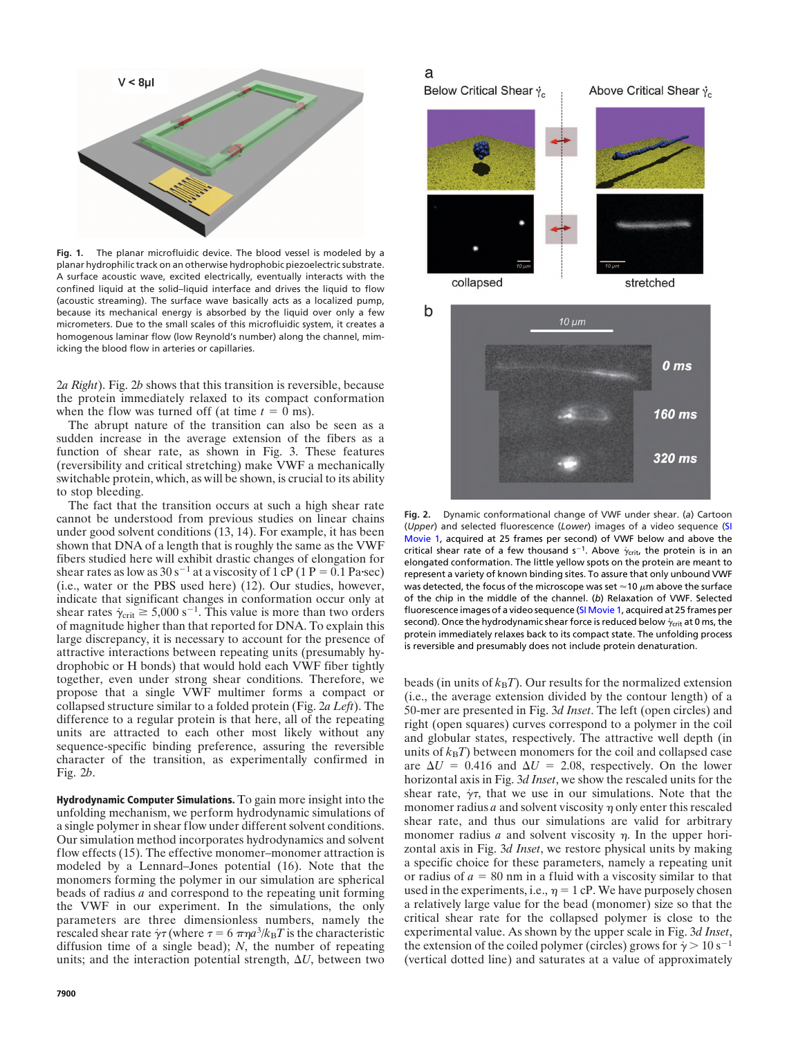

**Fig. 1.** The planar microfluidic device. The blood vessel is modeled by a planar hydrophilic track on an otherwise hydrophobic piezoelectric substrate. A surface acoustic wave, excited electrically, eventually interacts with the confined liquid at the solid–liquid interface and drives the liquid to flow (acoustic streaming). The surface wave basically acts as a localized pump, because its mechanical energy is absorbed by the liquid over only a few micrometers. Due to the small scales of this microfluidic system, it creates a homogenous laminar flow (low Reynold's number) along the channel, mimicking the blood flow in arteries or capillaries.

2*a Right*). Fig. 2*b* shows that this transition is reversible, because the protein immediately relaxed to its compact conformation when the flow was turned off (at time  $t = 0$  ms).

The abrupt nature of the transition can also be seen as a sudden increase in the average extension of the fibers as a function of shear rate, as shown in Fig. 3. These features (reversibility and critical stretching) make VWF a mechanically switchable protein, which, as will be shown, is crucial to its ability to stop bleeding.

The fact that the transition occurs at such a high shear rate cannot be understood from previous studies on linear chains under good solvent conditions (13, 14). For example, it has been shown that DNA of a length that is roughly the same as the VWF fibers studied here will exhibit drastic changes of elongation for shear rates as low as  $30 s^{-1}$  at a viscosity of 1 cP (1 P = 0.1 Pa·sec) (i.e., water or the PBS used here) (12). Our studies, however, indicate that significant changes in conformation occur only at shear rates  $\dot{\gamma}_{\text{crit}} \ge 5,000 \text{ s}^{-1}$ . This value is more than two orders of magnitude higher than that reported for DNA. To explain this large discrepancy, it is necessary to account for the presence of attractive interactions between repeating units (presumably hydrophobic or H bonds) that would hold each VWF fiber tightly together, even under strong shear conditions. Therefore, we propose that a single VWF multimer forms a compact or collapsed structure similar to a folded protein (Fig. 2*a Left*). The difference to a regular protein is that here, all of the repeating units are attracted to each other most likely without any sequence-specific binding preference, assuring the reversible character of the transition, as experimentally confirmed in Fig. 2*b*.

**Hydrodynamic Computer Simulations.** To gain more insight into the unfolding mechanism, we perform hydrodynamic simulations of a single polymer in shear flow under different solvent conditions. Our simulation method incorporates hydrodynamics and solvent flow effects (15). The effective monomer–monomer attraction is modeled by a Lennard–Jones potential (16). Note that the monomers forming the polymer in our simulation are spherical beads of radius *a* and correspond to the repeating unit forming the VWF in our experiment. In the simulations, the only parameters are three dimensionless numbers, namely the rescaled shear rate  $\dot{\gamma}$  (where  $\tau = 6 \pi \eta a^3 / k_B T$  is the characteristic diffusion time of a single bead); *N*, the number of repeating units; and the interaction potential strength,  $\Delta U$ , between two

## a





**Fig. 2.** Dynamic conformational change of VWF under shear. (*a*) Cartoon (*Upper*) and selected fluorescence (*Lower*) images of a video sequence [\(SI](http://www.pnas.org/cgi/content/full/0608422104/DC1) [Movie](http://www.pnas.org/cgi/content/full/0608422104/DC1) 1, acquired at 25 frames per second) of VWF below and above the critical shear rate of a few thousand  $s^{-1}$ . Above  $\dot{\gamma}_{\text{crit}}$ , the protein is in an elongated conformation. The little yellow spots on the protein are meant to represent a variety of known binding sites. To assure that only unbound VWF was detected, the focus of the microscope was set  $\approx$ 10  $\mu$ m above the surface of the chip in the middle of the channel. (*b*) Relaxation of VWF. Selected fluorescence images of a video sequence (SI [Movie](http://www.pnas.org/cgi/content/full/0608422104/DC1) 1, acquired at 25 frames per second). Once the hydrodynamic shear force is reduced below  $\dot{\gamma}_{\rm crit}$  at 0 ms, the protein immediately relaxes back to its compact state. The unfolding process is reversible and presumably does not include protein denaturation.

beads (in units of  $k_B T$ ). Our results for the normalized extension (i.e., the average extension divided by the contour length) of a 50-mer are presented in Fig. 3*d Inset*. The left (open circles) and right (open squares) curves correspond to a polymer in the coil and globular states, respectively. The attractive well depth (in units of  $k_B T$ ) between monomers for the coil and collapsed case are  $\Delta U = 0.416$  and  $\Delta U = 2.08$ , respectively. On the lower horizontal axis in Fig. 3*d Inset*, we show the rescaled units for the shear rate,  $\gamma\tau$ , that we use in our simulations. Note that the monomer radius  $a$  and solvent viscosity  $\eta$  only enter this rescaled shear rate, and thus our simulations are valid for arbitrary monomer radius  $a$  and solvent viscosity  $\eta$ . In the upper horizontal axis in Fig. 3*d Inset*, we restore physical units by making a specific choice for these parameters, namely a repeating unit or radius of  $a = 80$  nm in a fluid with a viscosity similar to that used in the experiments, i.e.,  $\eta = 1$  cP. We have purposely chosen a relatively large value for the bead (monomer) size so that the critical shear rate for the collapsed polymer is close to the experimental value. As shown by the upper scale in Fig. 3*d Inset*, the extension of the coiled polymer (circles) grows for  $\dot{\gamma} > 10 \,\mathrm{s}^{-1}$ (vertical dotted line) and saturates at a value of approximately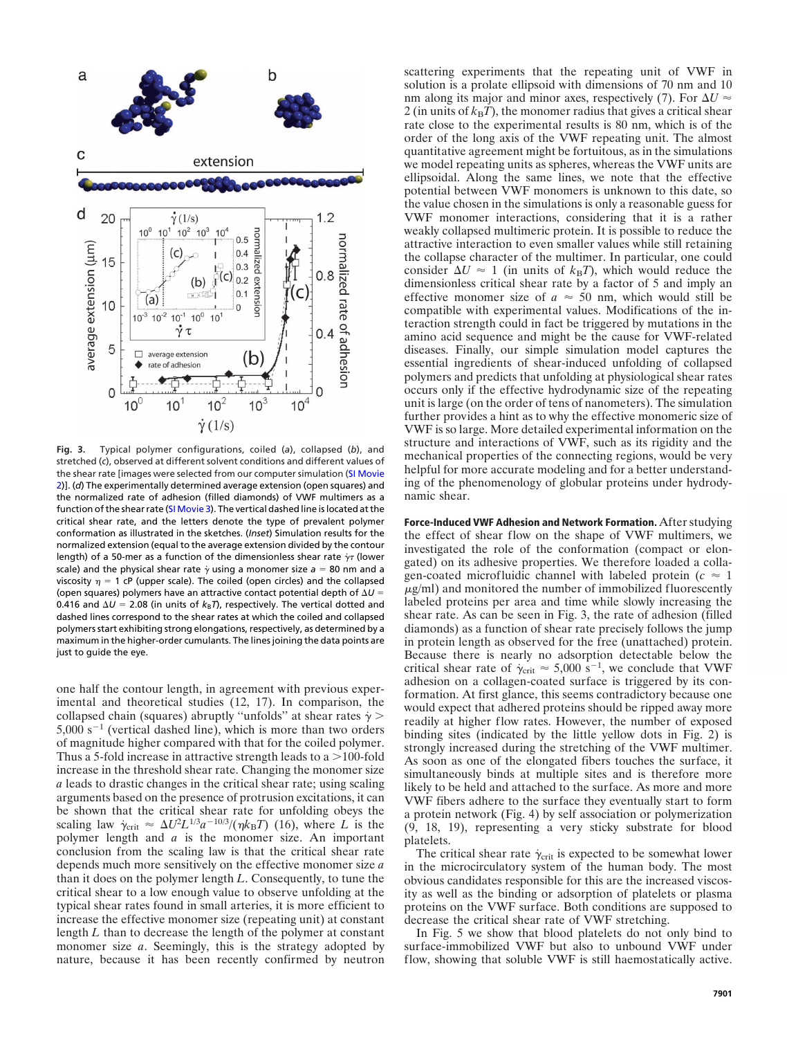

**Fig. 3.** Typical polymer configurations, coiled (*a*), collapsed (*b*), and stretched (*c*), observed at different solvent conditions and different values of the shear rate [images were selected from our computer simulation (SI [Movie](http://www.pnas.org/cgi/content/full/0608422104/DC1) [2\)](http://www.pnas.org/cgi/content/full/0608422104/DC1)]. (*d*) The experimentally determined average extension (open squares) and the normalized rate of adhesion (filled diamonds) of VWF multimers as a function of the shear rate (SI [Movie](http://www.pnas.org/cgi/content/full/0608422104/DC1) 3). The vertical dashed line is located at the critical shear rate, and the letters denote the type of prevalent polymer conformation as illustrated in the sketches. (*Inset*) Simulation results for the normalized extension (equal to the average extension divided by the contour length) of a 50-mer as a function of the dimensionless shear rate  $\gamma\tau$  (lower scale) and the physical shear rate  $\dot{\gamma}$  using a monomer size  $a$  = 80 nm and a viscosity  $\eta = 1$  cP (upper scale). The coiled (open circles) and the collapsed (open squares) polymers have an attractive contact potential depth of  $\Delta U =$ 0.416 and  $\Delta U = 2.08$  (in units of  $k_B T$ ), respectively. The vertical dotted and dashed lines correspond to the shear rates at which the coiled and collapsed polymers start exhibiting strong elongations, respectively, as determined by a maximum in the higher-order cumulants. The linesjoining the data points are just to guide the eye.

one half the contour length, in agreement with previous experimental and theoretical studies (12, 17). In comparison, the collapsed chain (squares) abruptly "unfolds" at shear rates  $\dot{\gamma}$  >  $5,000 s<sup>-1</sup>$  (vertical dashed line), which is more than two orders of magnitude higher compared with that for the coiled polymer. Thus a 5-fold increase in attractive strength leads to a  $>$  100-fold increase in the threshold shear rate. Changing the monomer size *a* leads to drastic changes in the critical shear rate; using scaling arguments based on the presence of protrusion excitations, it can be shown that the critical shear rate for unfolding obeys the scaling law  $\dot{\gamma}_{\text{crit}} \approx \Delta U^2 L^{1/3} a^{-10/3} / (\eta k_B T)$  (16), where *L* is the polymer length and *a* is the monomer size. An important conclusion from the scaling law is that the critical shear rate depends much more sensitively on the effective monomer size *a* than it does on the polymer length *L*. Consequently, to tune the critical shear to a low enough value to observe unfolding at the typical shear rates found in small arteries, it is more efficient to increase the effective monomer size (repeating unit) at constant length *L* than to decrease the length of the polymer at constant monomer size *a*. Seemingly, this is the strategy adopted by nature, because it has been recently confirmed by neutron scattering experiments that the repeating unit of VWF in solution is a prolate ellipsoid with dimensions of 70 nm and 10 nm along its major and minor axes, respectively (7). For  $\Delta U \approx$ 2 (in units of  $k_B T$ ), the monomer radius that gives a critical shear rate close to the experimental results is 80 nm, which is of the order of the long axis of the VWF repeating unit. The almost quantitative agreement might be fortuitous, as in the simulations we model repeating units as spheres, whereas the VWF units are ellipsoidal. Along the same lines, we note that the effective potential between VWF monomers is unknown to this date, so the value chosen in the simulations is only a reasonable guess for VWF monomer interactions, considering that it is a rather weakly collapsed multimeric protein. It is possible to reduce the attractive interaction to even smaller values while still retaining the collapse character of the multimer. In particular, one could consider  $\Delta U \approx 1$  (in units of  $k_B T$ ), which would reduce the dimensionless critical shear rate by a factor of 5 and imply an effective monomer size of  $a \approx 50$  nm, which would still be compatible with experimental values. Modifications of the interaction strength could in fact be triggered by mutations in the amino acid sequence and might be the cause for VWF-related diseases. Finally, our simple simulation model captures the essential ingredients of shear-induced unfolding of collapsed polymers and predicts that unfolding at physiological shear rates occurs only if the effective hydrodynamic size of the repeating unit is large (on the order of tens of nanometers). The simulation further provides a hint as to why the effective monomeric size of VWF is so large. More detailed experimental information on the structure and interactions of VWF, such as its rigidity and the mechanical properties of the connecting regions, would be very helpful for more accurate modeling and for a better understanding of the phenomenology of globular proteins under hydrodynamic shear.

**Force-Induced VWF Adhesion and Network Formation.** After studying the effect of shear flow on the shape of VWF multimers, we investigated the role of the conformation (compact or elongated) on its adhesive properties. We therefore loaded a collagen-coated microfluidic channel with labeled protein  $(c \approx 1)$  $\mu$ g/ml) and monitored the number of immobilized fluorescently labeled proteins per area and time while slowly increasing the shear rate. As can be seen in Fig. 3, the rate of adhesion (filled diamonds) as a function of shear rate precisely follows the jump in protein length as observed for the free (unattached) protein. Because there is nearly no adsorption detectable below the critical shear rate of  $\gamma_{\text{crit}} \approx 5,000 \text{ s}^{-1}$ , we conclude that VWF adhesion on a collagen-coated surface is triggered by its conformation. At first glance, this seems contradictory because one would expect that adhered proteins should be ripped away more readily at higher flow rates. However, the number of exposed binding sites (indicated by the little yellow dots in Fig. 2) is strongly increased during the stretching of the VWF multimer. As soon as one of the elongated fibers touches the surface, it simultaneously binds at multiple sites and is therefore more likely to be held and attached to the surface. As more and more VWF fibers adhere to the surface they eventually start to form a protein network (Fig. 4) by self association or polymerization (9, 18, 19), representing a very sticky substrate for blood platelets.

The critical shear rate  $\dot{\gamma}_{\text{crit}}$  is expected to be somewhat lower in the microcirculatory system of the human body. The most obvious candidates responsible for this are the increased viscosity as well as the binding or adsorption of platelets or plasma proteins on the VWF surface. Both conditions are supposed to decrease the critical shear rate of VWF stretching.

In Fig. 5 we show that blood platelets do not only bind to surface-immobilized VWF but also to unbound VWF under flow, showing that soluble VWF is still haemostatically active.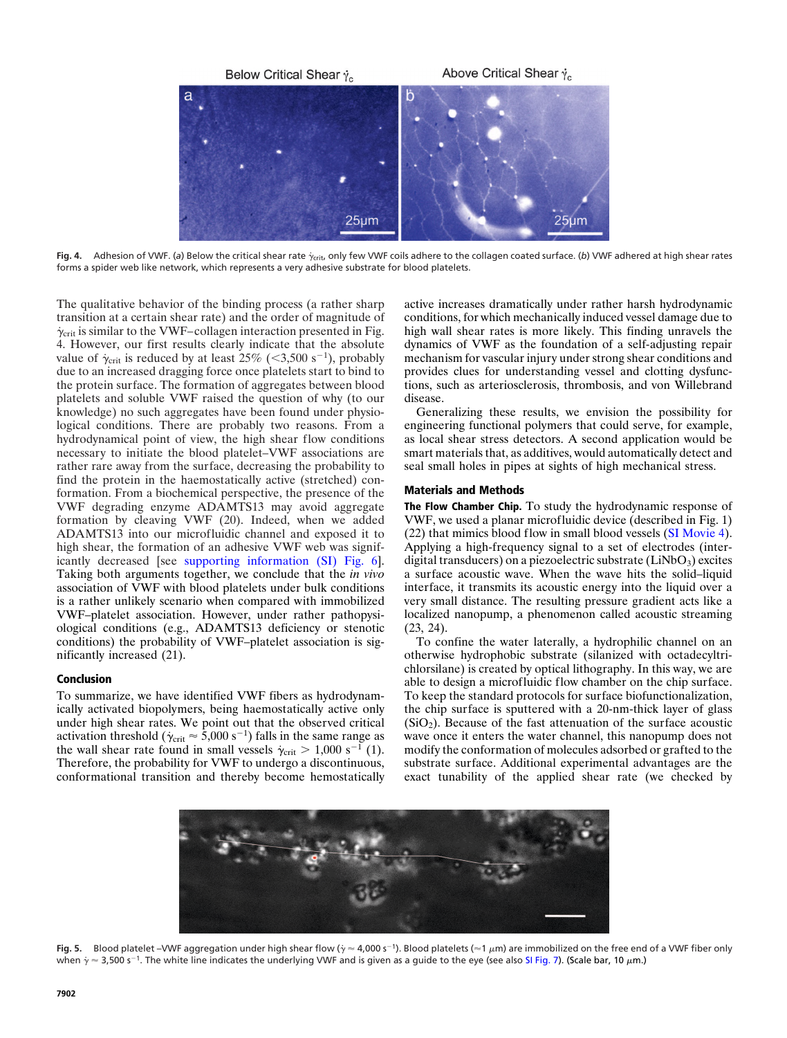

Fig. 4. Adhesion of VWF. (a) Below the critical shear rate  $\dot{\gamma}_\text{crit}$ , only few VWF coils adhere to the collagen coated surface. (*b*) VWF adhered at high shear rates forms a spider web like network, which represents a very adhesive substrate for blood platelets.

The qualitative behavior of the binding process (a rather sharp transition at a certain shear rate) and the order of magnitude of  $\dot{\gamma}_{\rm crit}$  is similar to the VWF–collagen interaction presented in Fig. 4. However, our first results clearly indicate that the absolute value of  $\dot{\gamma}_{\text{crit}}$  is reduced by at least 25% (<3,500 s<sup>-1</sup>), probably due to an increased dragging force once platelets start to bind to the protein surface. The formation of aggregates between blood platelets and soluble VWF raised the question of why (to our knowledge) no such aggregates have been found under physiological conditions. There are probably two reasons. From a hydrodynamical point of view, the high shear flow conditions necessary to initiate the blood platelet–VWF associations are rather rare away from the surface, decreasing the probability to find the protein in the haemostatically active (stretched) conformation. From a biochemical perspective, the presence of the VWF degrading enzyme ADAMTS13 may avoid aggregate formation by cleaving VWF (20). Indeed, when we added ADAMTS13 into our microfluidic channel and exposed it to high shear, the formation of an adhesive VWF web was significantly decreased [see supporting [information](http://www.pnas.org/cgi/content/full/0608422104/DC1) (SI) Fig. 6]. Taking both arguments together, we conclude that the *in vivo* association of VWF with blood platelets under bulk conditions is a rather unlikely scenario when compared with immobilized VWF–platelet association. However, under rather pathopysiological conditions (e.g., ADAMTS13 deficiency or stenotic conditions) the probability of VWF–platelet association is significantly increased (21).

## **Conclusion**

To summarize, we have identified VWF fibers as hydrodynamically activated biopolymers, being haemostatically active only under high shear rates. We point out that the observed critical activation threshold ( $\dot{\gamma}_{\rm crit} \approx 5,000 \,\rm s^{-1}$ ) falls in the same range as the wall shear rate found in small vessels  $\gamma_{\text{crit}} > 1,000 \text{ s}^{-1}$  (1). Therefore, the probability for VWF to undergo a discontinuous, conformational transition and thereby become hemostatically active increases dramatically under rather harsh hydrodynamic conditions, for which mechanically induced vessel damage due to high wall shear rates is more likely. This finding unravels the dynamics of VWF as the foundation of a self-adjusting repair mechanism for vascular injury under strong shear conditions and provides clues for understanding vessel and clotting dysfunctions, such as arteriosclerosis, thrombosis, and von Willebrand disease.

Generalizing these results, we envision the possibility for engineering functional polymers that could serve, for example, as local shear stress detectors. A second application would be smart materials that, as additives, would automatically detect and seal small holes in pipes at sights of high mechanical stress.

#### **Materials and Methods**

**The Flow Chamber Chip.** To study the hydrodynamic response of VWF, we used a planar microfluidic device (described in Fig. 1) (22) that mimics blood flow in small blood vessels (SI [Movie](http://www.pnas.org/cgi/content/full/0608422104/DC1) 4). Applying a high-frequency signal to a set of electrodes (interdigital transducers) on a piezoelectric substrate  $(LiNbO<sub>3</sub>)$  excites a surface acoustic wave. When the wave hits the solid–liquid interface, it transmits its acoustic energy into the liquid over a very small distance. The resulting pressure gradient acts like a localized nanopump, a phenomenon called acoustic streaming (23, 24).

To confine the water laterally, a hydrophilic channel on an otherwise hydrophobic substrate (silanized with octadecyltrichlorsilane) is created by optical lithography. In this way, we are able to design a microfluidic flow chamber on the chip surface. To keep the standard protocols for surface biofunctionalization, the chip surface is sputtered with a 20-nm-thick layer of glass  $(SiO<sub>2</sub>)$ . Because of the fast attenuation of the surface acoustic wave once it enters the water channel, this nanopump does not modify the conformation of molecules adsorbed or grafted to the substrate surface. Additional experimental advantages are the exact tunability of the applied shear rate (we checked by



Fig. 5. Blood platelet –VWF aggregation under high shear flow ( $\dot{\gamma} \approx 4,000$  s<sup>-1</sup>). Blood platelets ( $\approx$ 1  $\mu$ m) are immobilized on the free end of a VWF fiber only when  $\dot{\gamma}$   $\approx$  3,500 s $^{-1}$ . The white line indicates the underlying VWF and is given as a guide to the eye (see also SI [Fig.](http://www.pnas.org/cgi/content/full/0608422104/DC1) 7). (Scale bar, 10  $\mu$ m.)